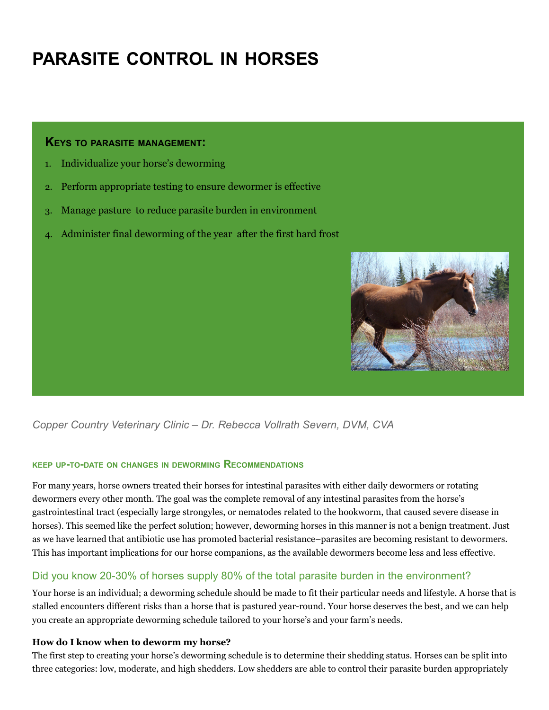# **PARASITE CONTROL IN HORSES**

#### **KEYS TO PARASITE MANAGEMENT:**

- 1. Individualize your horse's deworming
- 2. Perform appropriate testing to ensure dewormer is effective
- 3. Manage pasture to reduce parasite burden in environment
- 4. Administer final deworming of the year after the first hard frost



# *Copper Country Veterinary Clinic – Dr. Rebecca Vollrath Severn, DVM, CVA*

#### **KEEP UP-TO-DATE ON CHANGES IN DEWORMING RECOMMENDATIONS**

For many years, horse owners treated their horses for intestinal parasites with either daily dewormers or rotating dewormers every other month. The goal was the complete removal of any intestinal parasites from the horse's gastrointestinal tract (especially large strongyles, or nematodes related to the hookworm, that caused severe disease in horses). This seemed like the perfect solution; however, deworming horses in this manner is not a benign treatment. Just as we have learned that antibiotic use has promoted bacterial resistance–parasites are becoming resistant to dewormers. This has important implications for our horse companions, as the available dewormers become less and less effective.

# Did you know 20-30% of horses supply 80% of the total parasite burden in the environment?

Your horse is an individual; a deworming schedule should be made to fit their particular needs and lifestyle. A horse that is stalled encounters different risks than a horse that is pastured year-round. Your horse deserves the best, and we can help you create an appropriate deworming schedule tailored to your horse's and your farm's needs.

#### **How do I know when to deworm my horse?**

The first step to creating your horse's deworming schedule is to determine their shedding status. Horses can be split into three categories: low, moderate, and high shedders. Low shedders are able to control their parasite burden appropriately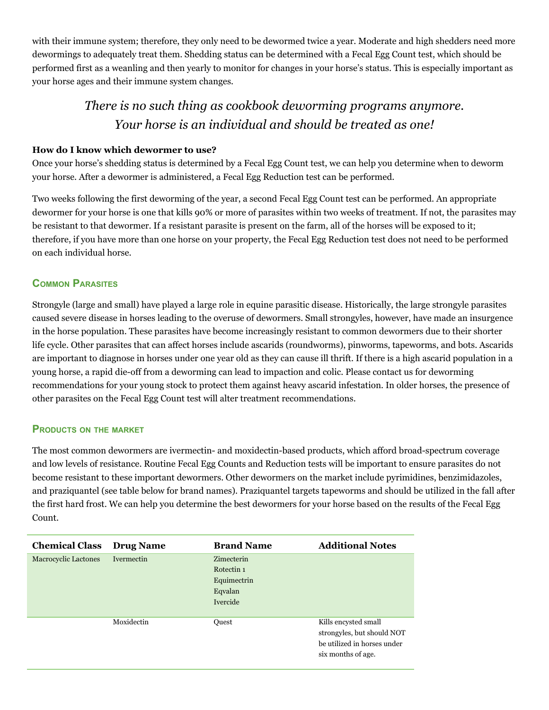with their immune system; therefore, they only need to be dewormed twice a year. Moderate and high shedders need more dewormings to adequately treat them. Shedding status can be determined with a Fecal Egg Count test, which should be performed first as a weanling and then yearly to monitor for changes in your horse's status. This is especially important as your horse ages and their immune system changes.

# *There is no such thing as cookbook deworming programs anymore. Your horse is an individual and should be treated as one!*

## **How do I know which dewormer to use?**

Once your horse's shedding status is determined by a Fecal Egg Count test, we can help you determine when to deworm your horse. After a dewormer is administered, a Fecal Egg Reduction test can be performed.

Two weeks following the first deworming of the year, a second Fecal Egg Count test can be performed. An appropriate dewormer for your horse is one that kills 90% or more of parasites within two weeks of treatment. If not, the parasites may be resistant to that dewormer. If a resistant parasite is present on the farm, all of the horses will be exposed to it; therefore, if you have more than one horse on your property, the Fecal Egg Reduction test does not need to be performed on each individual horse.

# **COMMON PARASITES**

Strongyle (large and small) have played a large role in equine parasitic disease. Historically, the large strongyle parasites caused severe disease in horses leading to the overuse of dewormers. Small strongyles, however, have made an insurgence in the horse population. These parasites have become increasingly resistant to common dewormers due to their shorter life cycle. Other parasites that can affect horses include ascarids (roundworms), pinworms, tapeworms, and bots. Ascarids are important to diagnose in horses under one year old as they can cause ill thrift. If there is a high ascarid population in a young horse, a rapid die-off from a deworming can lead to impaction and colic. Please contact us for deworming recommendations for your young stock to protect them against heavy ascarid infestation. In older horses, the presence of other parasites on the Fecal Egg Count test will alter treatment recommendations.

## **PRODUCTS ON THE MARKET**

The most common dewormers are ivermectin- and moxidectin-based products, which afford broad-spectrum coverage and low levels of resistance. Routine Fecal Egg Counts and Reduction tests will be important to ensure parasites do not become resistant to these important dewormers. Other dewormers on the market include pyrimidines, benzimidazoles, and praziquantel (see table below for brand names). Praziquantel targets tapeworms and should be utilized in the fall after the first hard frost. We can help you determine the best dewormers for your horse based on the results of the Fecal Egg Count.

| <b>Chemical Class</b>       | <b>Drug Name</b> | <b>Brand Name</b> | <b>Additional Notes</b>     |
|-----------------------------|------------------|-------------------|-----------------------------|
| <b>Macrocyclic Lactones</b> | Ivermectin       | Zimecterin        |                             |
|                             |                  | Rotectin 1        |                             |
|                             |                  | Equimectrin       |                             |
|                             |                  | Eqvalan           |                             |
|                             |                  | Ivercide          |                             |
|                             |                  |                   |                             |
|                             | Moxidectin       | <b>Ouest</b>      | Kills encysted small        |
|                             |                  |                   | strongyles, but should NOT  |
|                             |                  |                   | be utilized in horses under |
|                             |                  |                   | six months of age.          |
|                             |                  |                   |                             |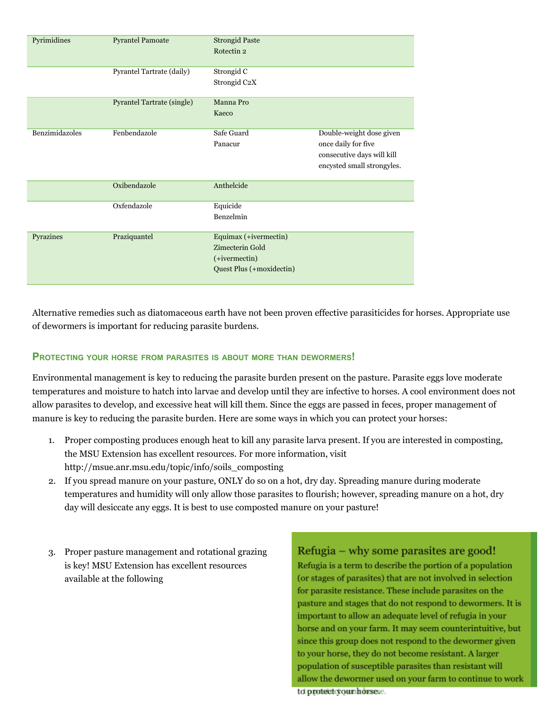| Pyrimidines    | <b>Pyrantel Pamoate</b>           | <b>Strongid Paste</b><br>Rotectin <sub>2</sub>                                        |                                                                                                             |
|----------------|-----------------------------------|---------------------------------------------------------------------------------------|-------------------------------------------------------------------------------------------------------------|
|                | Pyrantel Tartrate (daily)         | Strongid C<br>Strongid C2X                                                            |                                                                                                             |
|                | <b>Pyrantel Tartrate (single)</b> | Manna Pro<br>Kaeco                                                                    |                                                                                                             |
| Benzimidazoles | Fenbendazole                      | Safe Guard<br>Panacur                                                                 | Double-weight dose given<br>once daily for five<br>consecutive days will kill<br>encysted small strongyles. |
|                | Oxibendazole                      | Anthelcide                                                                            |                                                                                                             |
|                | Oxfendazole                       | Equicide<br>Benzelmin                                                                 |                                                                                                             |
| Pyrazines      | Praziquantel                      | Equimax (+ivermectin)<br>Zimecterin Gold<br>(+ivermectin)<br>Quest Plus (+moxidectin) |                                                                                                             |

Alternative remedies such as diatomaceous earth have not been proven effective parasiticides for horses. Appropriate use of dewormers is important for reducing parasite burdens.

#### **PROTECTING YOUR HORSE FROM PARASITES IS ABOUT MORE THAN DEWORMERS!**

Environmental management is key to reducing the parasite burden present on the pasture. Parasite eggs love moderate temperatures and moisture to hatch into larvae and develop until they are infective to horses. A cool environment does not allow parasites to develop, and excessive heat will kill them. Since the eggs are passed in feces, proper management of manure is key to reducing the parasite burden. Here are some ways in which you can protect your horses:

- 1. Proper composting produces enough heat to kill any parasite larva present. If you are interested in composting, the MSU Extension has excellent resources. For more information, visit http://msue.anr.msu.edu/topic/info/soils\_composting
- 2. If you spread manure on your pasture, ONLY do so on a hot, dry day. Spreading manure during moderate temperatures and humidity will only allow those parasites to flourish; however, spreading manure on a hot, dry day will desiccate any eggs. It is best to use composted manure on your pasture!
- 3. Proper pasture management and rotational grazing is key! MSU Extension has excellent resources available at the following

# Refugia – why some parasites are good!

Refugia is a term to describe the portion of a population (or stages of parasites) that are not involved in selection for parasite resistance. These include parasites on the pasture and stages that do not respond to dewormers. It is important to allow an adequate level of refugia in your horse and on your farm. It may seem counterintuitive, but since this group does not respond to the dewormer given to your horse, they do not become resistant. A larger population of susceptible parasites than resistant will allow the dewormer used on your farm to continue to work to protect your horsese.